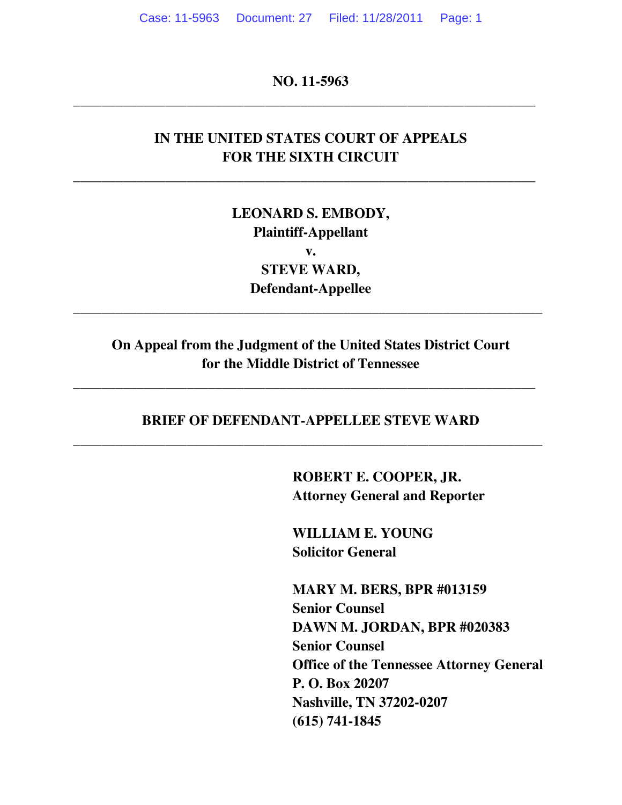**NO. 11-5963** 

**\_\_\_\_\_\_\_\_\_\_\_\_\_\_\_\_\_\_\_\_\_\_\_\_\_\_\_\_\_\_\_\_\_\_\_\_\_\_\_\_\_\_\_\_\_\_\_\_\_\_\_\_\_\_\_\_\_\_\_\_\_\_\_\_\_** 

# **IN THE UNITED STATES COURT OF APPEALS FOR THE SIXTH CIRCUIT**

**\_\_\_\_\_\_\_\_\_\_\_\_\_\_\_\_\_\_\_\_\_\_\_\_\_\_\_\_\_\_\_\_\_\_\_\_\_\_\_\_\_\_\_\_\_\_\_\_\_\_\_\_\_\_\_\_\_\_\_\_\_\_\_\_\_** 

**LEONARD S. EMBODY, Plaintiff-Appellant v. STEVE WARD, Defendant-Appellee** 

# **On Appeal from the Judgment of the United States District Court for the Middle District of Tennessee**

**\_\_\_\_\_\_\_\_\_\_\_\_\_\_\_\_\_\_\_\_\_\_\_\_\_\_\_\_\_\_\_\_\_\_\_\_\_\_\_\_\_\_\_\_\_\_\_\_\_\_\_\_\_\_\_\_\_\_\_\_\_\_\_\_\_** 

**\_\_\_\_\_\_\_\_\_\_\_\_\_\_\_\_\_\_\_\_\_\_\_\_\_\_\_\_\_\_\_\_\_\_\_\_\_\_\_\_\_\_\_\_\_\_\_\_\_\_\_\_\_\_\_\_\_\_\_\_\_\_\_\_\_\_** 

# **BRIEF OF DEFENDANT-APPELLEE STEVE WARD \_\_\_\_\_\_\_\_\_\_\_\_\_\_\_\_\_\_\_\_\_\_\_\_\_\_\_\_\_\_\_\_\_\_\_\_\_\_\_\_\_\_\_\_\_\_\_\_\_\_\_\_\_\_\_\_\_\_\_\_\_\_\_\_\_\_**

**ROBERT E. COOPER, JR. Attorney General and Reporter** 

**WILLIAM E. YOUNG Solicitor General** 

**MARY M. BERS, BPR #013159 Senior Counsel DAWN M. JORDAN, BPR #020383 Senior Counsel Office of the Tennessee Attorney General P. O. Box 20207 Nashville, TN 37202-0207 (615) 741-1845**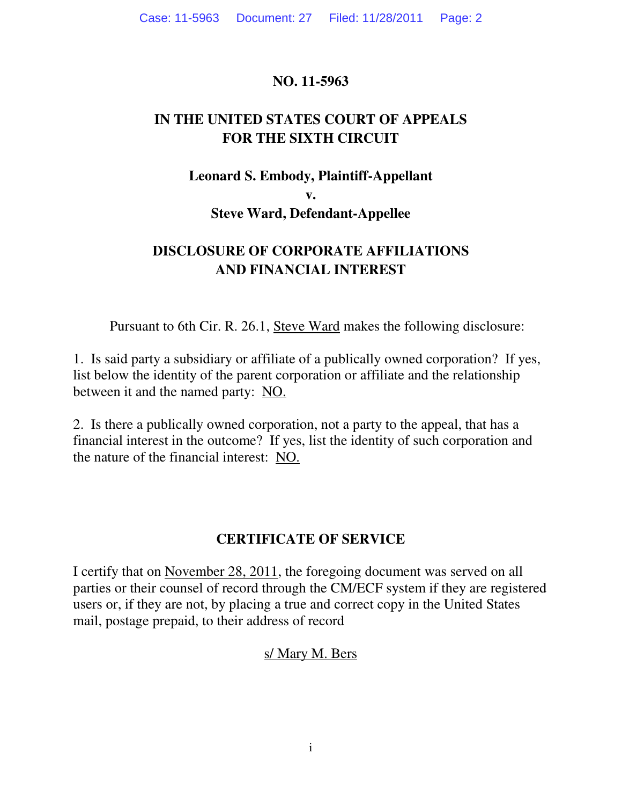### **NO. 11-5963**

# **IN THE UNITED STATES COURT OF APPEALS FOR THE SIXTH CIRCUIT**

### **Leonard S. Embody, Plaintiff-Appellant**

**v.** 

### **Steve Ward, Defendant-Appellee**

# **DISCLOSURE OF CORPORATE AFFILIATIONS AND FINANCIAL INTEREST**

Pursuant to 6th Cir. R. 26.1, Steve Ward makes the following disclosure:

1. Is said party a subsidiary or affiliate of a publically owned corporation? If yes, list below the identity of the parent corporation or affiliate and the relationship between it and the named party: NO.

2. Is there a publically owned corporation, not a party to the appeal, that has a financial interest in the outcome? If yes, list the identity of such corporation and the nature of the financial interest: NO.

## **CERTIFICATE OF SERVICE**

I certify that on November 28, 2011, the foregoing document was served on all parties or their counsel of record through the CM/ECF system if they are registered users or, if they are not, by placing a true and correct copy in the United States mail, postage prepaid, to their address of record

## s/ Mary M. Bers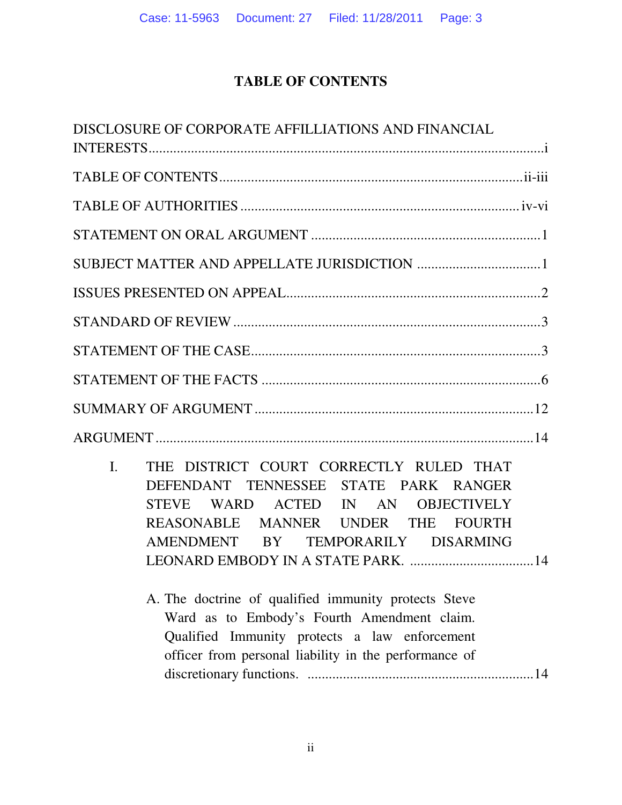# **TABLE OF CONTENTS**

| DISCLOSURE OF CORPORATE AFFILLIATIONS AND FINANCIAL                                                                                                                                                                                                                          |
|------------------------------------------------------------------------------------------------------------------------------------------------------------------------------------------------------------------------------------------------------------------------------|
|                                                                                                                                                                                                                                                                              |
|                                                                                                                                                                                                                                                                              |
|                                                                                                                                                                                                                                                                              |
|                                                                                                                                                                                                                                                                              |
|                                                                                                                                                                                                                                                                              |
|                                                                                                                                                                                                                                                                              |
|                                                                                                                                                                                                                                                                              |
|                                                                                                                                                                                                                                                                              |
|                                                                                                                                                                                                                                                                              |
|                                                                                                                                                                                                                                                                              |
| THE DISTRICT COURT CORRECTLY RULED THAT<br>$\overline{L}$<br>DEFENDANT TENNESSEE STATE PARK RANGER<br>STEVE WARD ACTED IN AN OBJECTIVELY<br>REASONABLE MANNER UNDER THE FOURTH<br>AMENDMENT BY TEMPORARILY DISARMING<br>A. The doctrine of qualified immunity protects Steve |
| Ward as to Embody's Fourth Amendment claim.<br>Qualified Immunity protects a law enforcement<br>officer from personal liability in the performance of                                                                                                                        |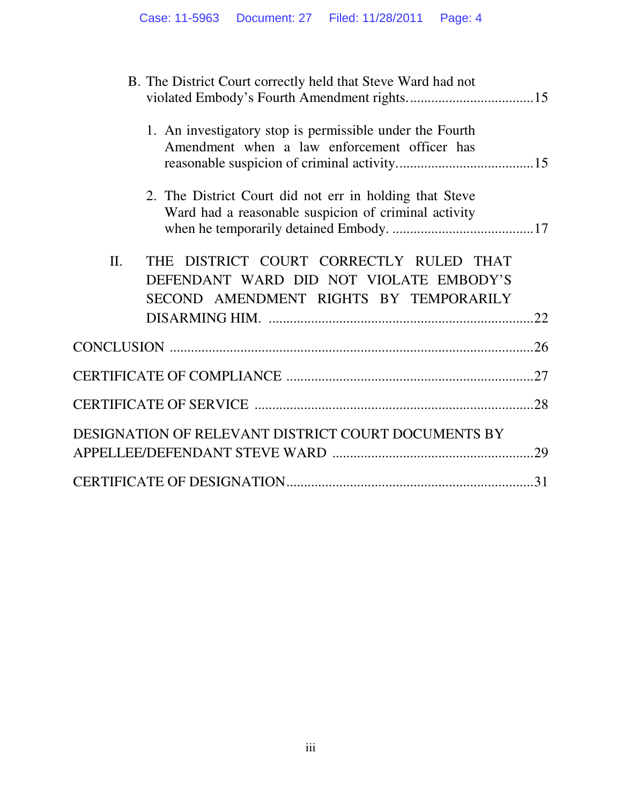|     | B. The District Court correctly held that Steve Ward had not                                                                 |     |
|-----|------------------------------------------------------------------------------------------------------------------------------|-----|
|     | 1. An investigatory stop is permissible under the Fourth<br>Amendment when a law enforcement officer has                     |     |
|     | 2. The District Court did not err in holding that Steve<br>Ward had a reasonable suspicion of criminal activity              |     |
| II. | THE DISTRICT COURT CORRECTLY RULED THAT<br>DEFENDANT WARD DID NOT VIOLATE EMBODY'S<br>SECOND AMENDMENT RIGHTS BY TEMPORARILY |     |
|     |                                                                                                                              |     |
|     |                                                                                                                              |     |
|     |                                                                                                                              |     |
|     | DESIGNATION OF RELEVANT DISTRICT COURT DOCUMENTS BY                                                                          | .29 |
|     |                                                                                                                              |     |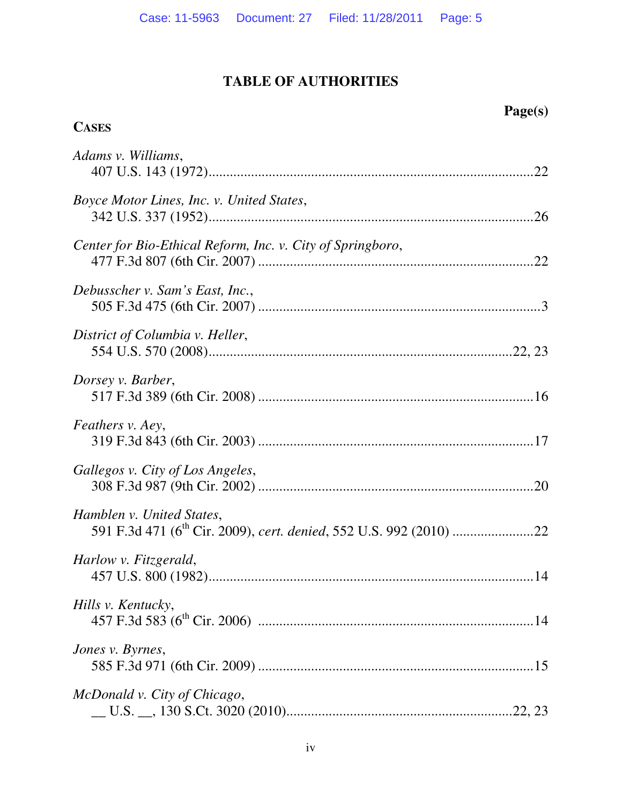# **TABLE OF AUTHORITIES**

# **Page(s)**

# **CASES**

| Adams v. Williams,                                         |
|------------------------------------------------------------|
| Boyce Motor Lines, Inc. v. United States,                  |
| Center for Bio-Ethical Reform, Inc. v. City of Springboro, |
| Debusscher v. Sam's East, Inc.,                            |
| District of Columbia v. Heller,                            |
| Dorsey v. Barber,                                          |
| Feathers v. Aey,                                           |
| Gallegos v. City of Los Angeles,                           |
| Hamblen v. United States,                                  |
| Harlow v. Fitzgerald,                                      |
| Hills v. Kentucky,                                         |
| Jones v. Byrnes,                                           |
| McDonald v. City of Chicago,                               |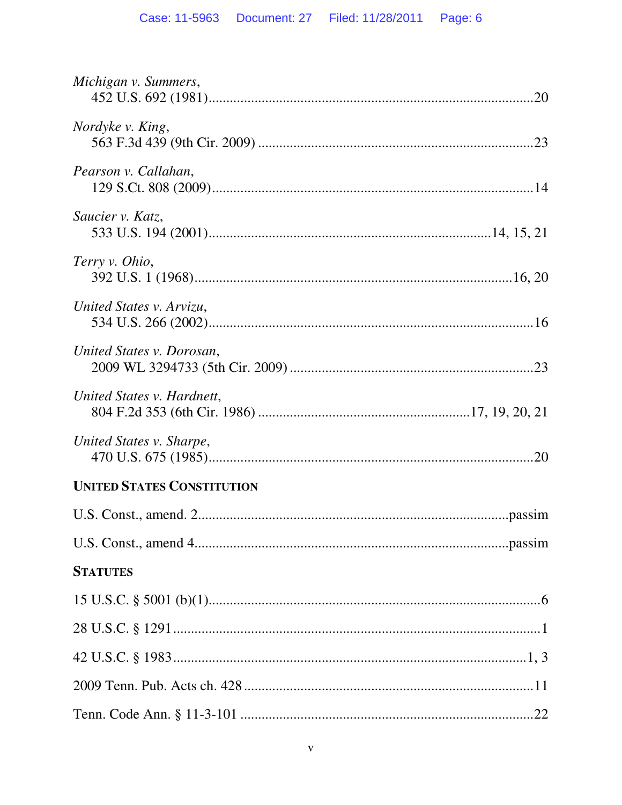| Michigan v. Summers,              |
|-----------------------------------|
| Nordyke v. King,                  |
| Pearson v. Callahan,              |
| Saucier v. Katz,                  |
| Terry v. Ohio,                    |
| United States v. Arvizu,          |
| United States v. Dorosan,         |
| United States v. Hardnett,        |
| United States v. Sharpe,          |
| <b>UNITED STATES CONSTITUTION</b> |
|                                   |
|                                   |
| <b>STATUTES</b>                   |
|                                   |
|                                   |
|                                   |
|                                   |
|                                   |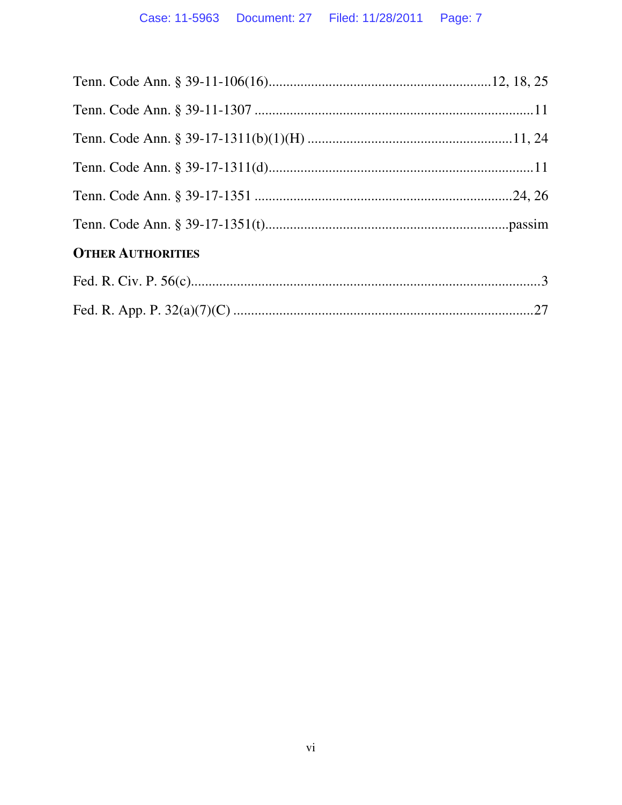| <b>OTHER AUTHORITIES</b> |  |
|--------------------------|--|
|                          |  |
|                          |  |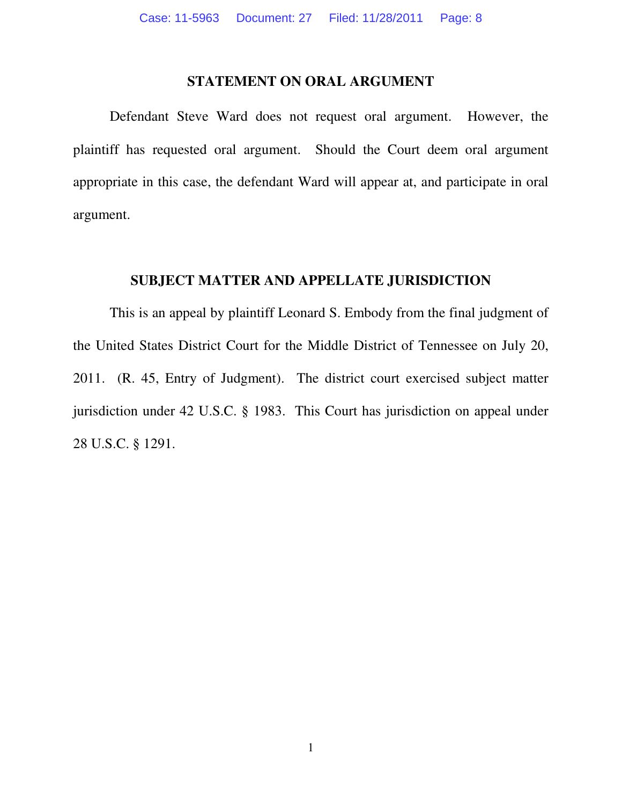#### **STATEMENT ON ORAL ARGUMENT**

 Defendant Steve Ward does not request oral argument. However, the plaintiff has requested oral argument. Should the Court deem oral argument appropriate in this case, the defendant Ward will appear at, and participate in oral argument.

#### **SUBJECT MATTER AND APPELLATE JURISDICTION**

 This is an appeal by plaintiff Leonard S. Embody from the final judgment of the United States District Court for the Middle District of Tennessee on July 20, 2011. (R. 45, Entry of Judgment). The district court exercised subject matter jurisdiction under 42 U.S.C. § 1983. This Court has jurisdiction on appeal under 28 U.S.C. § 1291.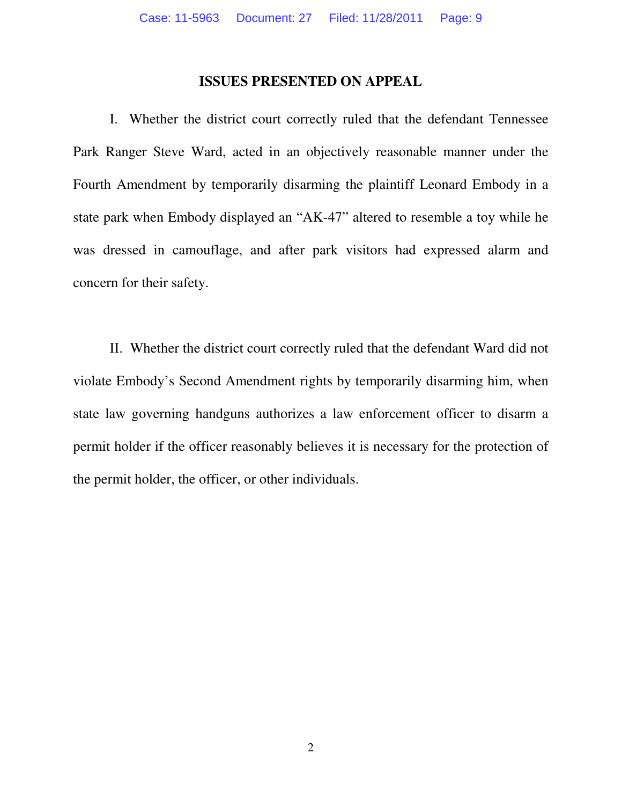#### **ISSUES PRESENTED ON APPEAL**

 I. Whether the district court correctly ruled that the defendant Tennessee Park Ranger Steve Ward, acted in an objectively reasonable manner under the Fourth Amendment by temporarily disarming the plaintiff Leonard Embody in a state park when Embody displayed an "AK-47" altered to resemble a toy while he was dressed in camouflage, and after park visitors had expressed alarm and concern for their safety.

 II. Whether the district court correctly ruled that the defendant Ward did not violate Embody's Second Amendment rights by temporarily disarming him, when state law governing handguns authorizes a law enforcement officer to disarm a permit holder if the officer reasonably believes it is necessary for the protection of the permit holder, the officer, or other individuals.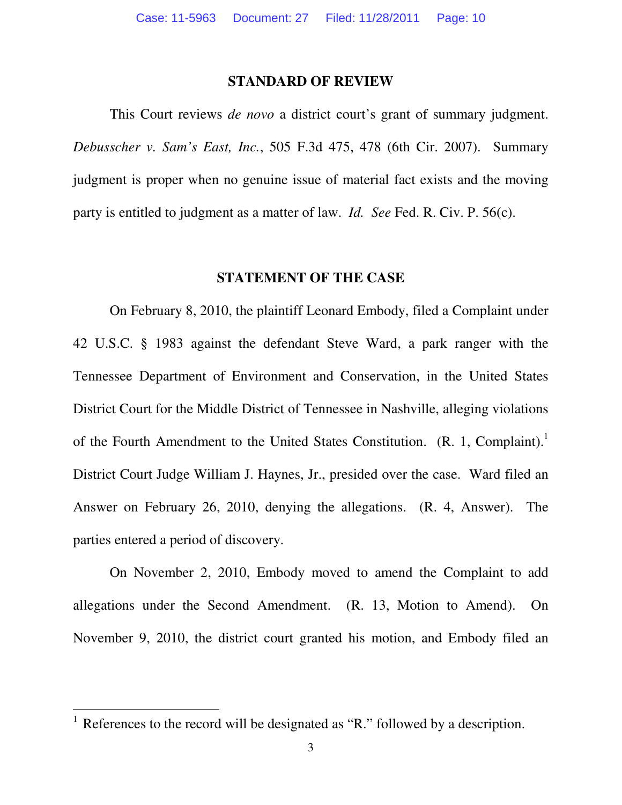#### **STANDARD OF REVIEW**

This Court reviews *de novo* a district court's grant of summary judgment. *Debusscher v. Sam's East, Inc.*, 505 F.3d 475, 478 (6th Cir. 2007). Summary judgment is proper when no genuine issue of material fact exists and the moving party is entitled to judgment as a matter of law. *Id. See* Fed. R. Civ. P. 56(c).

#### **STATEMENT OF THE CASE**

On February 8, 2010, the plaintiff Leonard Embody, filed a Complaint under 42 U.S.C. § 1983 against the defendant Steve Ward, a park ranger with the Tennessee Department of Environment and Conservation, in the United States District Court for the Middle District of Tennessee in Nashville, alleging violations of the Fourth Amendment to the United States Constitution.  $(R. 1, Complain).$ <sup>1</sup> District Court Judge William J. Haynes, Jr., presided over the case. Ward filed an Answer on February 26, 2010, denying the allegations. (R. 4, Answer). The parties entered a period of discovery.

 On November 2, 2010, Embody moved to amend the Complaint to add allegations under the Second Amendment. (R. 13, Motion to Amend). On November 9, 2010, the district court granted his motion, and Embody filed an

 $<sup>1</sup>$  References to the record will be designated as "R." followed by a description.</sup>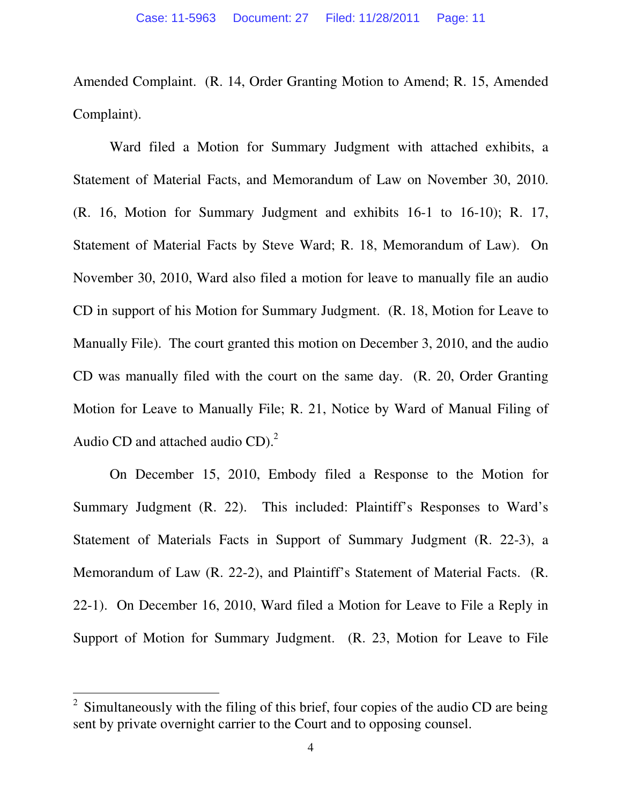Amended Complaint. (R. 14, Order Granting Motion to Amend; R. 15, Amended Complaint).

 Ward filed a Motion for Summary Judgment with attached exhibits, a Statement of Material Facts, and Memorandum of Law on November 30, 2010. (R. 16, Motion for Summary Judgment and exhibits 16-1 to 16-10); R. 17, Statement of Material Facts by Steve Ward; R. 18, Memorandum of Law). On November 30, 2010, Ward also filed a motion for leave to manually file an audio CD in support of his Motion for Summary Judgment. (R. 18, Motion for Leave to Manually File). The court granted this motion on December 3, 2010, and the audio CD was manually filed with the court on the same day. (R. 20, Order Granting Motion for Leave to Manually File; R. 21, Notice by Ward of Manual Filing of Audio CD and attached audio CD).<sup>2</sup>

 On December 15, 2010, Embody filed a Response to the Motion for Summary Judgment (R. 22). This included: Plaintiff's Responses to Ward's Statement of Materials Facts in Support of Summary Judgment (R. 22-3), a Memorandum of Law (R. 22-2), and Plaintiff's Statement of Material Facts. (R. 22-1). On December 16, 2010, Ward filed a Motion for Leave to File a Reply in Support of Motion for Summary Judgment. (R. 23, Motion for Leave to File

<sup>2</sup> Simultaneously with the filing of this brief, four copies of the audio CD are being sent by private overnight carrier to the Court and to opposing counsel.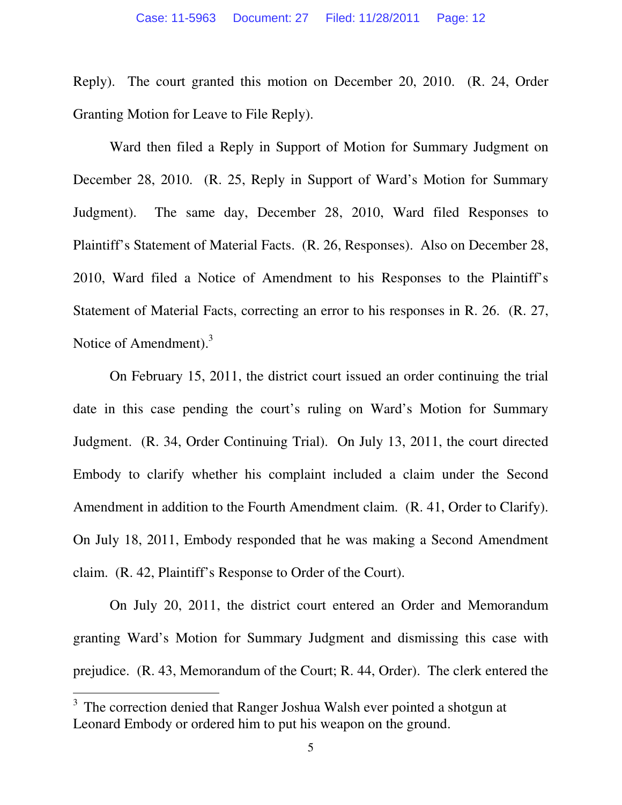Reply). The court granted this motion on December 20, 2010. (R. 24, Order Granting Motion for Leave to File Reply).

Ward then filed a Reply in Support of Motion for Summary Judgment on December 28, 2010. (R. 25, Reply in Support of Ward's Motion for Summary Judgment). The same day, December 28, 2010, Ward filed Responses to Plaintiff's Statement of Material Facts. (R. 26, Responses). Also on December 28, 2010, Ward filed a Notice of Amendment to his Responses to the Plaintiff's Statement of Material Facts, correcting an error to his responses in R. 26. (R. 27, Notice of Amendment).<sup>3</sup>

 On February 15, 2011, the district court issued an order continuing the trial date in this case pending the court's ruling on Ward's Motion for Summary Judgment. (R. 34, Order Continuing Trial). On July 13, 2011, the court directed Embody to clarify whether his complaint included a claim under the Second Amendment in addition to the Fourth Amendment claim. (R. 41, Order to Clarify). On July 18, 2011, Embody responded that he was making a Second Amendment claim. (R. 42, Plaintiff's Response to Order of the Court).

 On July 20, 2011, the district court entered an Order and Memorandum granting Ward's Motion for Summary Judgment and dismissing this case with prejudice. (R. 43, Memorandum of the Court; R. 44, Order). The clerk entered the

 $3$  The correction denied that Ranger Joshua Walsh ever pointed a shotgun at Leonard Embody or ordered him to put his weapon on the ground.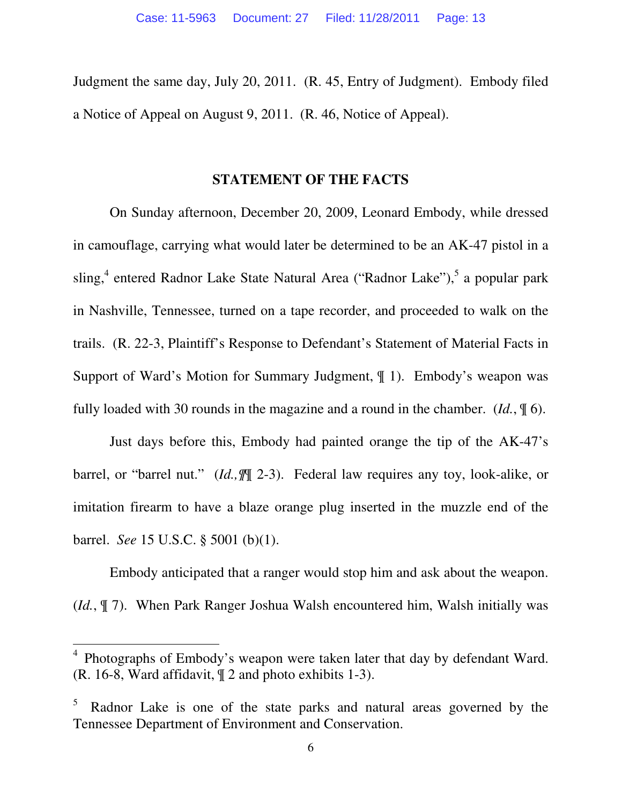Judgment the same day, July 20, 2011. (R. 45, Entry of Judgment). Embody filed a Notice of Appeal on August 9, 2011. (R. 46, Notice of Appeal).

#### **STATEMENT OF THE FACTS**

On Sunday afternoon, December 20, 2009, Leonard Embody, while dressed in camouflage, carrying what would later be determined to be an AK-47 pistol in a sling,<sup>4</sup> entered Radnor Lake State Natural Area ("Radnor Lake"),<sup>5</sup> a popular park in Nashville, Tennessee, turned on a tape recorder, and proceeded to walk on the trails. (R. 22-3, Plaintiff's Response to Defendant's Statement of Material Facts in Support of Ward's Motion for Summary Judgment, ¶ 1). Embody's weapon was fully loaded with 30 rounds in the magazine and a round in the chamber. (*Id.*, ¶ 6).

 Just days before this, Embody had painted orange the tip of the AK-47's barrel, or "barrel nut." (*Id.,¶*¶ 2-3). Federal law requires any toy, look-alike, or imitation firearm to have a blaze orange plug inserted in the muzzle end of the barrel. *See* 15 U.S.C. § 5001 (b)(1).

 Embody anticipated that a ranger would stop him and ask about the weapon. (*Id.*, ¶ 7). When Park Ranger Joshua Walsh encountered him, Walsh initially was

l

<sup>4</sup> Photographs of Embody's weapon were taken later that day by defendant Ward. (R. 16-8, Ward affidavit, ¶ 2 and photo exhibits 1-3).

<sup>5</sup> Radnor Lake is one of the state parks and natural areas governed by the Tennessee Department of Environment and Conservation.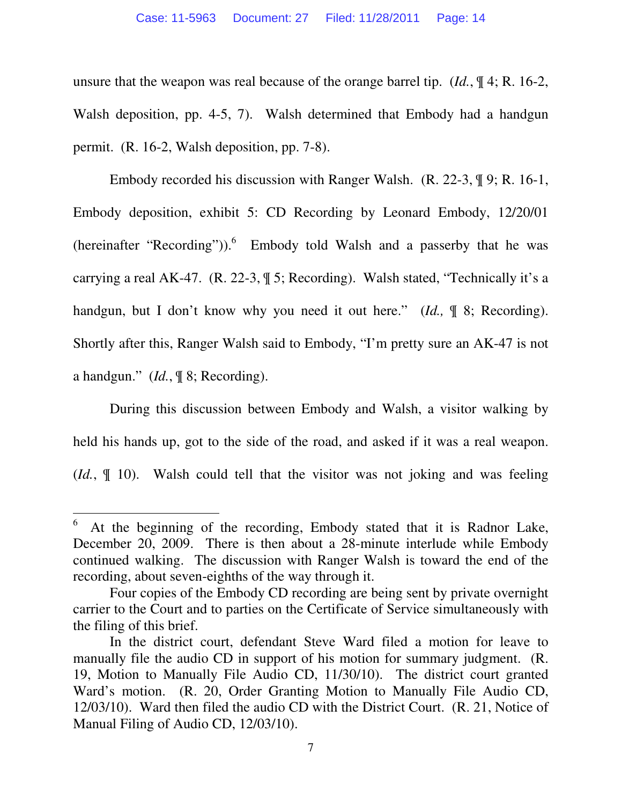unsure that the weapon was real because of the orange barrel tip. (*Id.*, ¶ 4; R. 16-2, Walsh deposition, pp. 4-5, 7). Walsh determined that Embody had a handgun permit. (R. 16-2, Walsh deposition, pp. 7-8).

 Embody recorded his discussion with Ranger Walsh. (R. 22-3, ¶ 9; R. 16-1, Embody deposition, exhibit 5: CD Recording by Leonard Embody, 12/20/01 (hereinafter "Recording")).<sup>6</sup> Embody told Walsh and a passerby that he was carrying a real AK-47. (R. 22-3, ¶ 5; Recording). Walsh stated, "Technically it's a handgun, but I don't know why you need it out here." (*Id.*,  $\parallel$  8; Recording). Shortly after this, Ranger Walsh said to Embody, "I'm pretty sure an AK-47 is not a handgun." (*Id.*, ¶ 8; Recording).

 During this discussion between Embody and Walsh, a visitor walking by held his hands up, got to the side of the road, and asked if it was a real weapon. (*Id.*, ¶ 10). Walsh could tell that the visitor was not joking and was feeling

<sup>6</sup> At the beginning of the recording, Embody stated that it is Radnor Lake, December 20, 2009. There is then about a 28-minute interlude while Embody continued walking. The discussion with Ranger Walsh is toward the end of the recording, about seven-eighths of the way through it.

Four copies of the Embody CD recording are being sent by private overnight carrier to the Court and to parties on the Certificate of Service simultaneously with the filing of this brief.

In the district court, defendant Steve Ward filed a motion for leave to manually file the audio CD in support of his motion for summary judgment. (R. 19, Motion to Manually File Audio CD, 11/30/10). The district court granted Ward's motion. (R. 20, Order Granting Motion to Manually File Audio CD, 12/03/10). Ward then filed the audio CD with the District Court. (R. 21, Notice of Manual Filing of Audio CD, 12/03/10).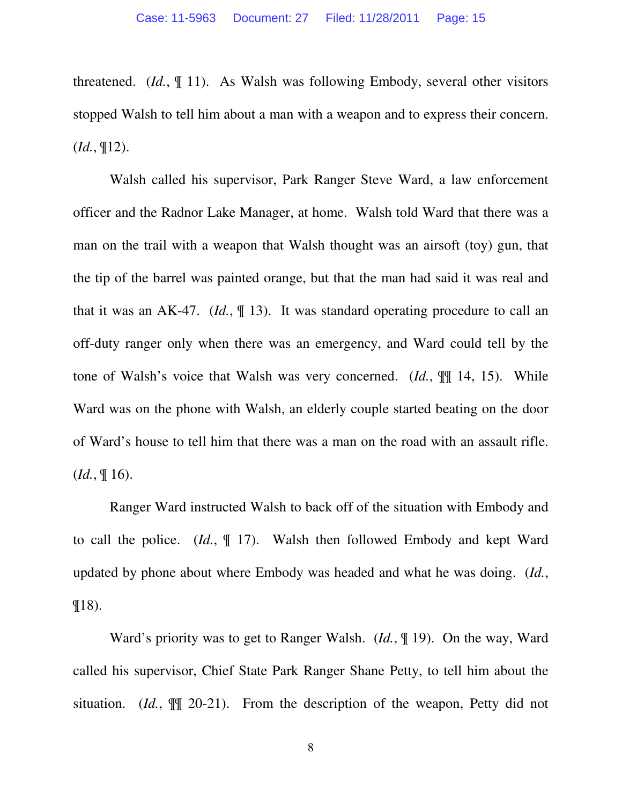threatened. (*Id.*, ¶ 11). As Walsh was following Embody, several other visitors stopped Walsh to tell him about a man with a weapon and to express their concern. (*Id.*, ¶12).

 Walsh called his supervisor, Park Ranger Steve Ward, a law enforcement officer and the Radnor Lake Manager, at home. Walsh told Ward that there was a man on the trail with a weapon that Walsh thought was an airsoft (toy) gun, that the tip of the barrel was painted orange, but that the man had said it was real and that it was an AK-47. (*Id.*, ¶ 13). It was standard operating procedure to call an off-duty ranger only when there was an emergency, and Ward could tell by the tone of Walsh's voice that Walsh was very concerned. (*Id.*, ¶¶ 14, 15). While Ward was on the phone with Walsh, an elderly couple started beating on the door of Ward's house to tell him that there was a man on the road with an assault rifle. (*Id.*, ¶ 16).

 Ranger Ward instructed Walsh to back off of the situation with Embody and to call the police. (*Id.*, ¶ 17). Walsh then followed Embody and kept Ward updated by phone about where Embody was headed and what he was doing. (*Id.*, ¶18).

 Ward's priority was to get to Ranger Walsh. (*Id.*, ¶ 19). On the way, Ward called his supervisor, Chief State Park Ranger Shane Petty, to tell him about the situation. (*Id.*, ¶¶ 20-21). From the description of the weapon, Petty did not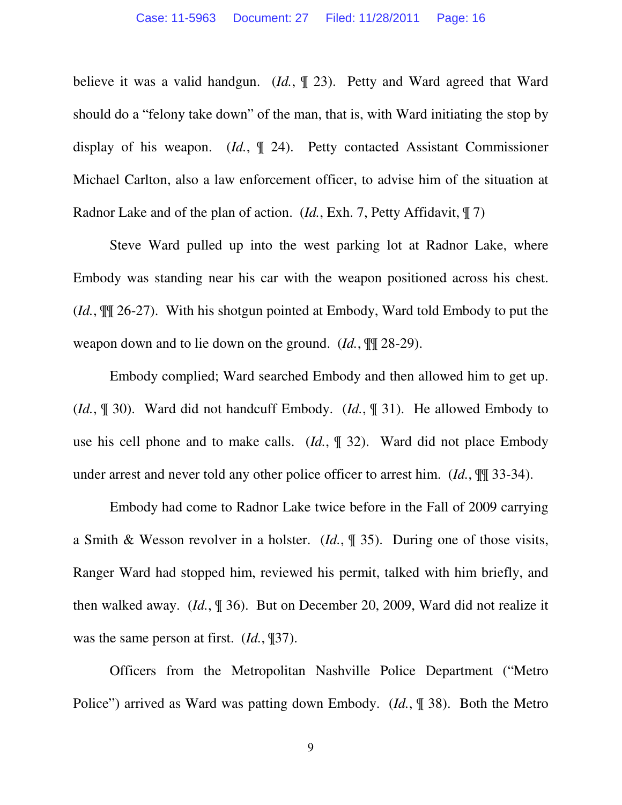believe it was a valid handgun. (*Id.*, ¶ 23). Petty and Ward agreed that Ward should do a "felony take down" of the man, that is, with Ward initiating the stop by display of his weapon. (*Id.*, ¶ 24). Petty contacted Assistant Commissioner Michael Carlton, also a law enforcement officer, to advise him of the situation at Radnor Lake and of the plan of action. (*Id.*, Exh. 7, Petty Affidavit, ¶ 7)

 Steve Ward pulled up into the west parking lot at Radnor Lake, where Embody was standing near his car with the weapon positioned across his chest. (*Id.*, ¶¶ 26-27). With his shotgun pointed at Embody, Ward told Embody to put the weapon down and to lie down on the ground. (*Id.*,  $\mathbb{I}$  28-29).

 Embody complied; Ward searched Embody and then allowed him to get up. (*Id.*, ¶ 30). Ward did not handcuff Embody. (*Id.*, ¶ 31). He allowed Embody to use his cell phone and to make calls. (*Id.*, ¶ 32). Ward did not place Embody under arrest and never told any other police officer to arrest him. (*Id.*, ¶¶ 33-34).

 Embody had come to Radnor Lake twice before in the Fall of 2009 carrying a Smith & Wesson revolver in a holster. (*Id.*, ¶ 35). During one of those visits, Ranger Ward had stopped him, reviewed his permit, talked with him briefly, and then walked away. (*Id.*, ¶ 36). But on December 20, 2009, Ward did not realize it was the same person at first. (*Id.*, ¶37).

 Officers from the Metropolitan Nashville Police Department ("Metro Police") arrived as Ward was patting down Embody. (*Id.*, ¶ 38). Both the Metro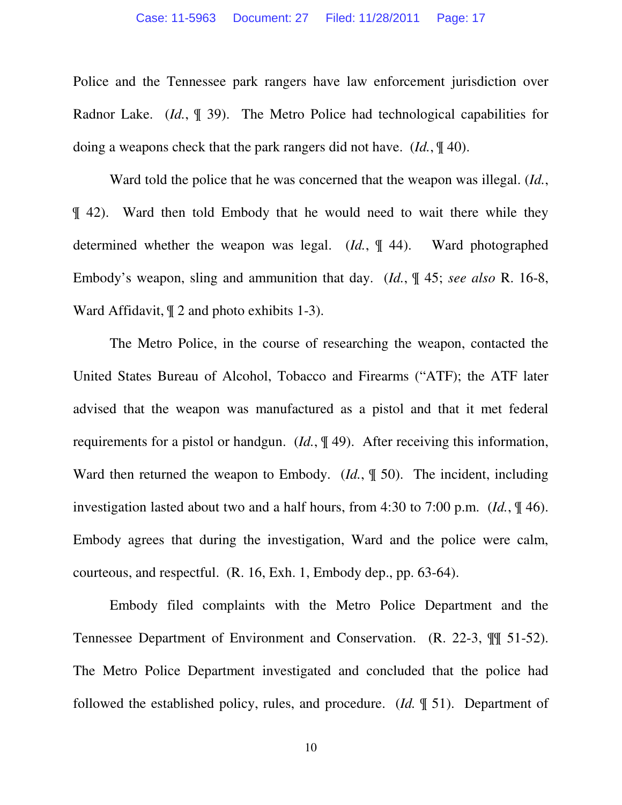Police and the Tennessee park rangers have law enforcement jurisdiction over Radnor Lake. (*Id.*, ¶ 39). The Metro Police had technological capabilities for doing a weapons check that the park rangers did not have. (*Id.*, ¶ 40).

 Ward told the police that he was concerned that the weapon was illegal. (*Id.*, ¶ 42). Ward then told Embody that he would need to wait there while they determined whether the weapon was legal. (*Id.*, ¶ 44). Ward photographed Embody's weapon, sling and ammunition that day. (*Id.*, ¶ 45; *see also* R. 16-8, Ward Affidavit, ¶ 2 and photo exhibits 1-3).

 The Metro Police, in the course of researching the weapon, contacted the United States Bureau of Alcohol, Tobacco and Firearms ("ATF); the ATF later advised that the weapon was manufactured as a pistol and that it met federal requirements for a pistol or handgun. (*Id.*, ¶ 49). After receiving this information, Ward then returned the weapon to Embody. (*Id.*, ¶ 50). The incident, including investigation lasted about two and a half hours, from 4:30 to 7:00 p.m. (*Id.*, ¶ 46). Embody agrees that during the investigation, Ward and the police were calm, courteous, and respectful. (R. 16, Exh. 1, Embody dep., pp. 63-64).

 Embody filed complaints with the Metro Police Department and the Tennessee Department of Environment and Conservation. (R. 22-3, ¶¶ 51-52). The Metro Police Department investigated and concluded that the police had followed the established policy, rules, and procedure. (*Id.* ¶ 51). Department of

10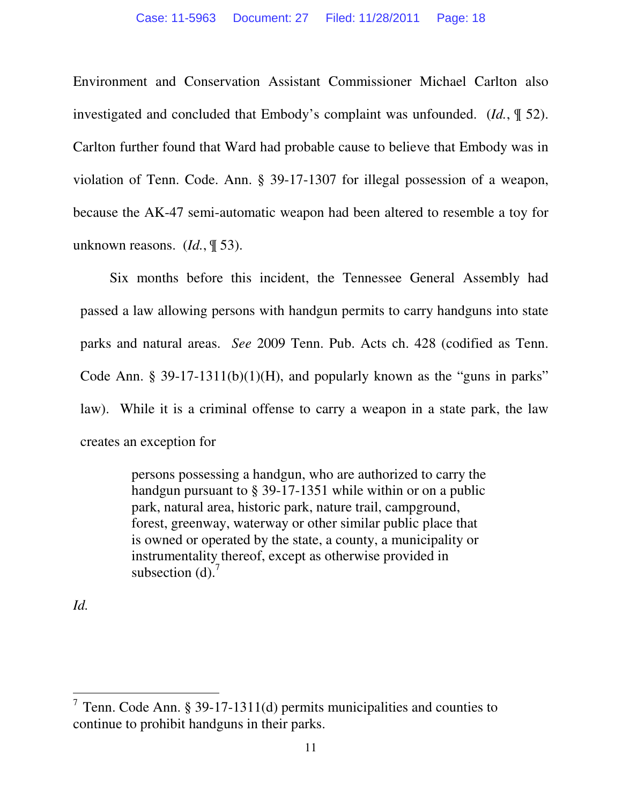Environment and Conservation Assistant Commissioner Michael Carlton also investigated and concluded that Embody's complaint was unfounded. (*Id.*, ¶ 52). Carlton further found that Ward had probable cause to believe that Embody was in violation of Tenn. Code. Ann. § 39-17-1307 for illegal possession of a weapon, because the AK-47 semi-automatic weapon had been altered to resemble a toy for unknown reasons. (*Id.*, ¶ 53).

 Six months before this incident, the Tennessee General Assembly had passed a law allowing persons with handgun permits to carry handguns into state parks and natural areas. *See* 2009 Tenn. Pub. Acts ch. 428 (codified as Tenn. Code Ann. § 39-17-1311(b)(1)(H), and popularly known as the "guns in parks" law). While it is a criminal offense to carry a weapon in a state park, the law creates an exception for

> persons possessing a handgun, who are authorized to carry the handgun pursuant to § 39-17-1351 while within or on a public park, natural area, historic park, nature trail, campground, forest, greenway, waterway or other similar public place that is owned or operated by the state, a county, a municipality or instrumentality thereof, except as otherwise provided in subsection  $(d)$ .<sup>7</sup>

*Id.* 

<sup>&</sup>lt;sup>7</sup> Tenn. Code Ann. § 39-17-1311(d) permits municipalities and counties to continue to prohibit handguns in their parks.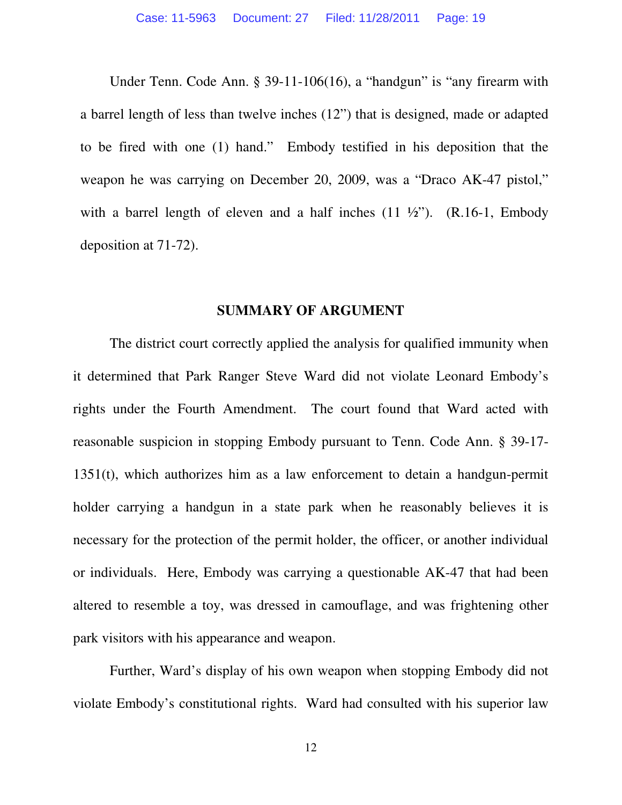Under Tenn. Code Ann. § 39-11-106(16), a "handgun" is "any firearm with a barrel length of less than twelve inches (12") that is designed, made or adapted to be fired with one (1) hand." Embody testified in his deposition that the weapon he was carrying on December 20, 2009, was a "Draco AK-47 pistol," with a barrel length of eleven and a half inches  $(11 \frac{1}{2})$ .  $(R.16-1, \text{Embody})$ deposition at 71-72).

#### **SUMMARY OF ARGUMENT**

 The district court correctly applied the analysis for qualified immunity when it determined that Park Ranger Steve Ward did not violate Leonard Embody's rights under the Fourth Amendment. The court found that Ward acted with reasonable suspicion in stopping Embody pursuant to Tenn. Code Ann. § 39-17- 1351(t), which authorizes him as a law enforcement to detain a handgun-permit holder carrying a handgun in a state park when he reasonably believes it is necessary for the protection of the permit holder, the officer, or another individual or individuals. Here, Embody was carrying a questionable AK-47 that had been altered to resemble a toy, was dressed in camouflage, and was frightening other park visitors with his appearance and weapon.

 Further, Ward's display of his own weapon when stopping Embody did not violate Embody's constitutional rights. Ward had consulted with his superior law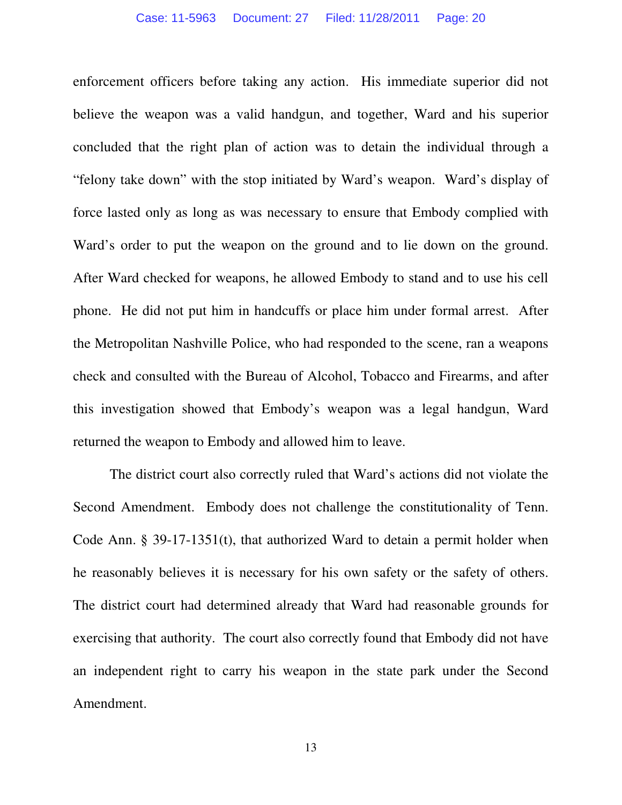enforcement officers before taking any action. His immediate superior did not believe the weapon was a valid handgun, and together, Ward and his superior concluded that the right plan of action was to detain the individual through a "felony take down" with the stop initiated by Ward's weapon. Ward's display of force lasted only as long as was necessary to ensure that Embody complied with Ward's order to put the weapon on the ground and to lie down on the ground. After Ward checked for weapons, he allowed Embody to stand and to use his cell phone. He did not put him in handcuffs or place him under formal arrest. After the Metropolitan Nashville Police, who had responded to the scene, ran a weapons check and consulted with the Bureau of Alcohol, Tobacco and Firearms, and after this investigation showed that Embody's weapon was a legal handgun, Ward returned the weapon to Embody and allowed him to leave.

 The district court also correctly ruled that Ward's actions did not violate the Second Amendment. Embody does not challenge the constitutionality of Tenn. Code Ann. § 39-17-1351(t), that authorized Ward to detain a permit holder when he reasonably believes it is necessary for his own safety or the safety of others. The district court had determined already that Ward had reasonable grounds for exercising that authority. The court also correctly found that Embody did not have an independent right to carry his weapon in the state park under the Second Amendment.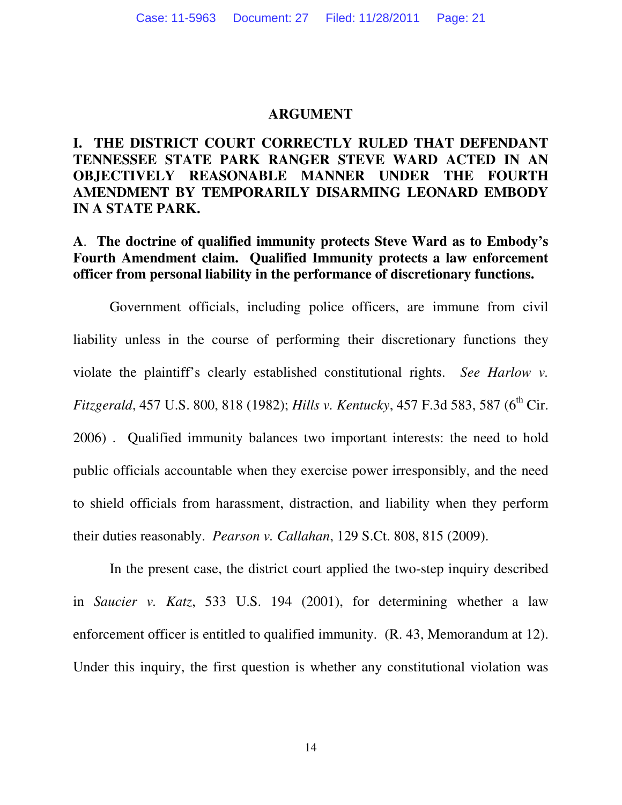#### **ARGUMENT**

### **I. THE DISTRICT COURT CORRECTLY RULED THAT DEFENDANT TENNESSEE STATE PARK RANGER STEVE WARD ACTED IN AN OBJECTIVELY REASONABLE MANNER UNDER THE FOURTH AMENDMENT BY TEMPORARILY DISARMING LEONARD EMBODY IN A STATE PARK.**

### **A**. **The doctrine of qualified immunity protects Steve Ward as to Embody's Fourth Amendment claim. Qualified Immunity protects a law enforcement officer from personal liability in the performance of discretionary functions.**

 Government officials, including police officers, are immune from civil liability unless in the course of performing their discretionary functions they violate the plaintiff's clearly established constitutional rights. *See Harlow v. Fitzgerald*, 457 U.S. 800, 818 (1982); *Hills v. Kentucky*, 457 F.3d 583, 587 (6<sup>th</sup> Cir. 2006) . Qualified immunity balances two important interests: the need to hold public officials accountable when they exercise power irresponsibly, and the need to shield officials from harassment, distraction, and liability when they perform their duties reasonably. *Pearson v. Callahan*, 129 S.Ct. 808, 815 (2009).

 In the present case, the district court applied the two-step inquiry described in *Saucier v. Katz*, 533 U.S. 194 (2001), for determining whether a law enforcement officer is entitled to qualified immunity. (R. 43, Memorandum at 12). Under this inquiry, the first question is whether any constitutional violation was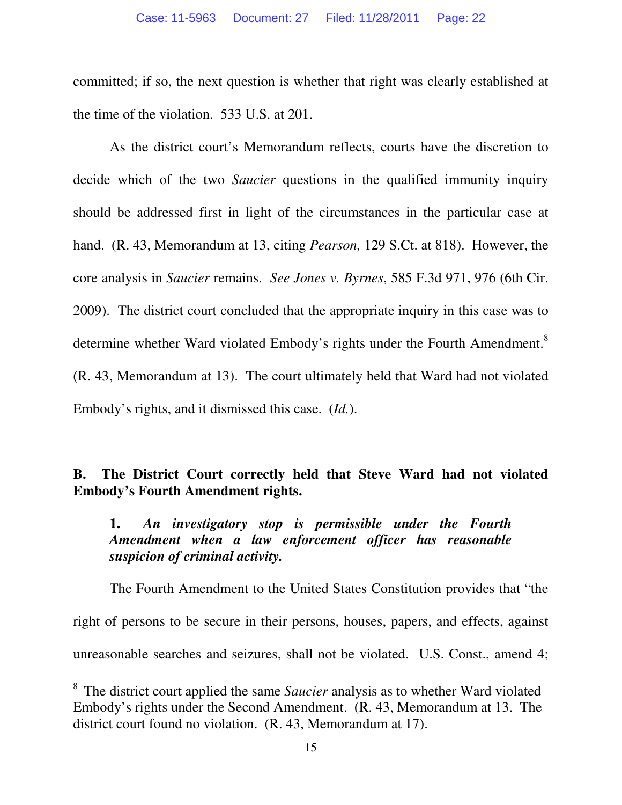committed; if so, the next question is whether that right was clearly established at the time of the violation. 533 U.S. at 201.

 As the district court's Memorandum reflects, courts have the discretion to decide which of the two *Saucier* questions in the qualified immunity inquiry should be addressed first in light of the circumstances in the particular case at hand. (R. 43, Memorandum at 13, citing *Pearson,* 129 S.Ct. at 818). However, the core analysis in *Saucier* remains. *See Jones v. Byrnes*, 585 F.3d 971, 976 (6th Cir. 2009). The district court concluded that the appropriate inquiry in this case was to determine whether Ward violated Embody's rights under the Fourth Amendment.<sup>8</sup> (R. 43, Memorandum at 13). The court ultimately held that Ward had not violated Embody's rights, and it dismissed this case. (*Id.*).

# **B. The District Court correctly held that Steve Ward had not violated Embody's Fourth Amendment rights.**

### **1.** *An investigatory stop is permissible under the Fourth Amendment when a law enforcement officer has reasonable suspicion of criminal activity.*

 The Fourth Amendment to the United States Constitution provides that "the right of persons to be secure in their persons, houses, papers, and effects, against unreasonable searches and seizures, shall not be violated. U.S. Const., amend 4;

<sup>8</sup> The district court applied the same *Saucier* analysis as to whether Ward violated Embody's rights under the Second Amendment. (R. 43, Memorandum at 13. The district court found no violation. (R. 43, Memorandum at 17).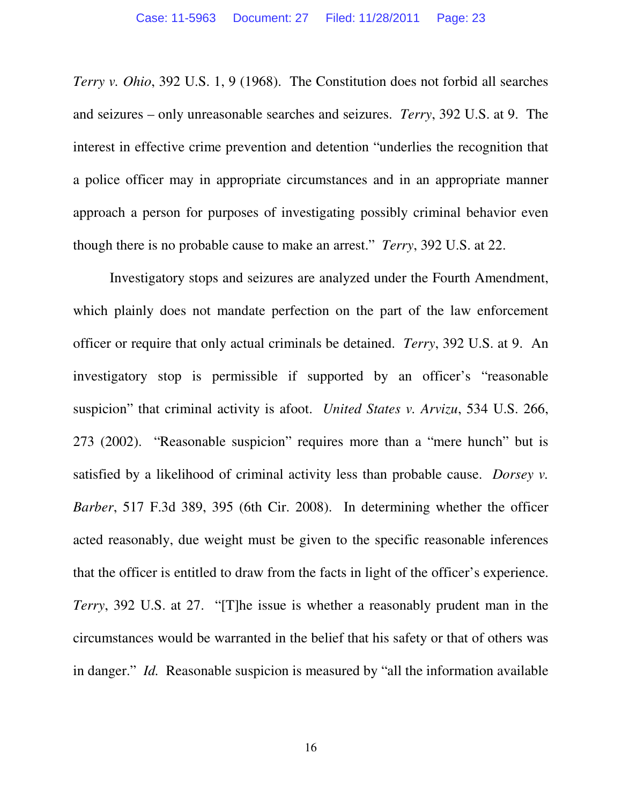*Terry v. Ohio*, 392 U.S. 1, 9 (1968). The Constitution does not forbid all searches and seizures – only unreasonable searches and seizures. *Terry*, 392 U.S. at 9. The interest in effective crime prevention and detention "underlies the recognition that a police officer may in appropriate circumstances and in an appropriate manner approach a person for purposes of investigating possibly criminal behavior even though there is no probable cause to make an arrest." *Terry*, 392 U.S. at 22.

 Investigatory stops and seizures are analyzed under the Fourth Amendment, which plainly does not mandate perfection on the part of the law enforcement officer or require that only actual criminals be detained. *Terry*, 392 U.S. at 9. An investigatory stop is permissible if supported by an officer's "reasonable suspicion" that criminal activity is afoot. *United States v. Arvizu*, 534 U.S. 266, 273 (2002). "Reasonable suspicion" requires more than a "mere hunch" but is satisfied by a likelihood of criminal activity less than probable cause. *Dorsey v. Barber*, 517 F.3d 389, 395 (6th Cir. 2008). In determining whether the officer acted reasonably, due weight must be given to the specific reasonable inferences that the officer is entitled to draw from the facts in light of the officer's experience. *Terry*, 392 U.S. at 27. "[T]he issue is whether a reasonably prudent man in the circumstances would be warranted in the belief that his safety or that of others was in danger." *Id.* Reasonable suspicion is measured by "all the information available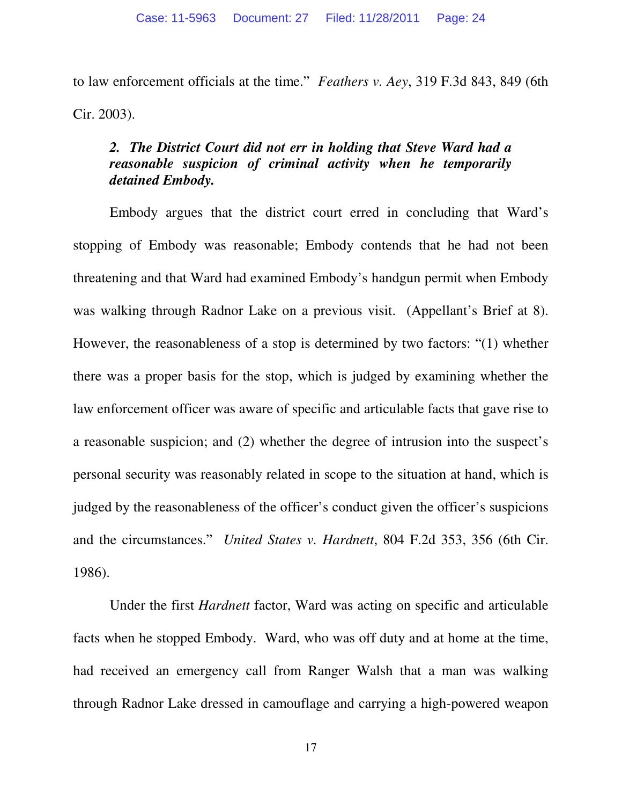to law enforcement officials at the time." *Feathers v. Aey*, 319 F.3d 843, 849 (6th Cir. 2003).

### *2. The District Court did not err in holding that Steve Ward had a reasonable suspicion of criminal activity when he temporarily detained Embody.*

 Embody argues that the district court erred in concluding that Ward's stopping of Embody was reasonable; Embody contends that he had not been threatening and that Ward had examined Embody's handgun permit when Embody was walking through Radnor Lake on a previous visit. (Appellant's Brief at 8). However, the reasonableness of a stop is determined by two factors: "(1) whether there was a proper basis for the stop, which is judged by examining whether the law enforcement officer was aware of specific and articulable facts that gave rise to a reasonable suspicion; and (2) whether the degree of intrusion into the suspect's personal security was reasonably related in scope to the situation at hand, which is judged by the reasonableness of the officer's conduct given the officer's suspicions and the circumstances." *United States v. Hardnett*, 804 F.2d 353, 356 (6th Cir. 1986).

Under the first *Hardnett* factor, Ward was acting on specific and articulable facts when he stopped Embody. Ward, who was off duty and at home at the time, had received an emergency call from Ranger Walsh that a man was walking through Radnor Lake dressed in camouflage and carrying a high-powered weapon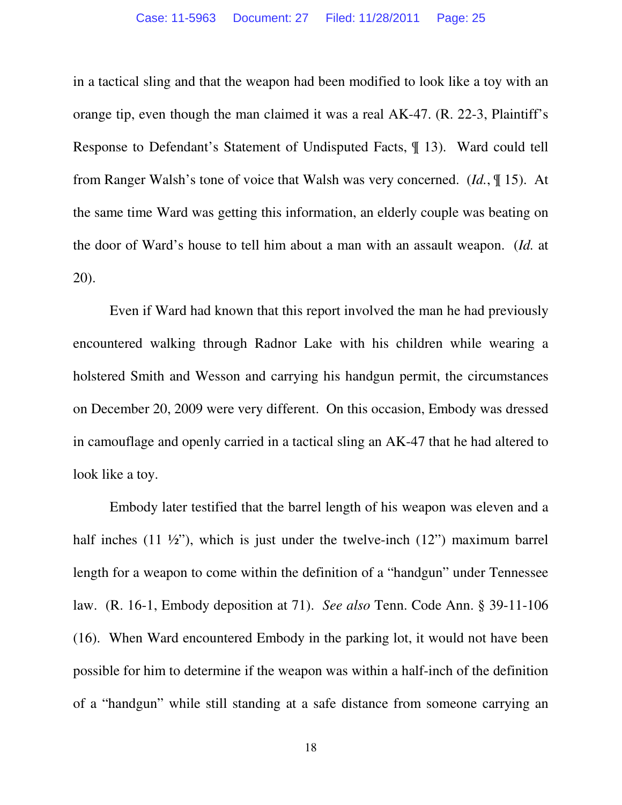in a tactical sling and that the weapon had been modified to look like a toy with an orange tip, even though the man claimed it was a real AK-47. (R. 22-3, Plaintiff's Response to Defendant's Statement of Undisputed Facts, ¶ 13). Ward could tell from Ranger Walsh's tone of voice that Walsh was very concerned. (*Id.*, ¶ 15). At the same time Ward was getting this information, an elderly couple was beating on the door of Ward's house to tell him about a man with an assault weapon. (*Id.* at 20).

 Even if Ward had known that this report involved the man he had previously encountered walking through Radnor Lake with his children while wearing a holstered Smith and Wesson and carrying his handgun permit, the circumstances on December 20, 2009 were very different. On this occasion, Embody was dressed in camouflage and openly carried in a tactical sling an AK-47 that he had altered to look like a toy.

 Embody later testified that the barrel length of his weapon was eleven and a half inches  $(11 \frac{1}{2})$ , which is just under the twelve-inch  $(12)$  maximum barrel length for a weapon to come within the definition of a "handgun" under Tennessee law. (R. 16-1, Embody deposition at 71). *See also* Tenn. Code Ann. § 39-11-106 (16). When Ward encountered Embody in the parking lot, it would not have been possible for him to determine if the weapon was within a half-inch of the definition of a "handgun" while still standing at a safe distance from someone carrying an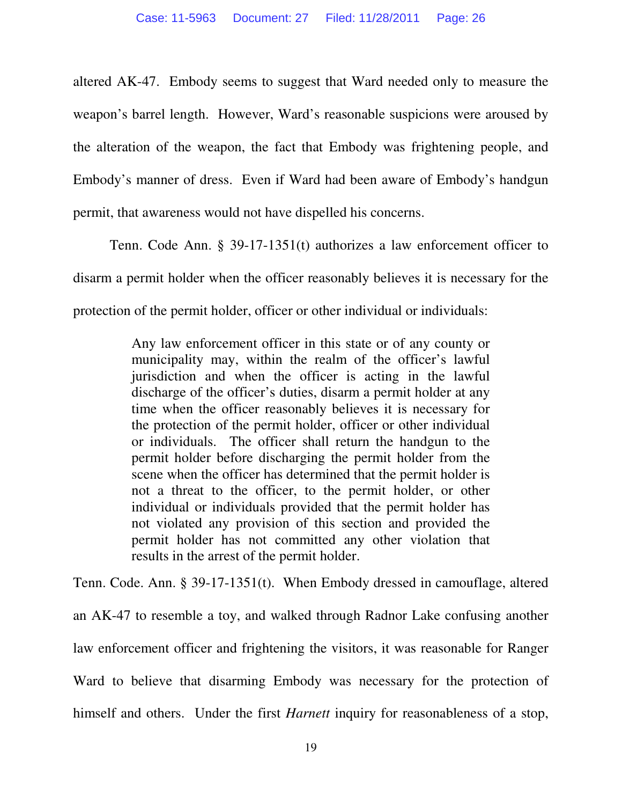altered AK-47. Embody seems to suggest that Ward needed only to measure the weapon's barrel length. However, Ward's reasonable suspicions were aroused by the alteration of the weapon, the fact that Embody was frightening people, and Embody's manner of dress. Even if Ward had been aware of Embody's handgun permit, that awareness would not have dispelled his concerns.

 Tenn. Code Ann. § 39-17-1351(t) authorizes a law enforcement officer to disarm a permit holder when the officer reasonably believes it is necessary for the protection of the permit holder, officer or other individual or individuals:

> Any law enforcement officer in this state or of any county or municipality may, within the realm of the officer's lawful jurisdiction and when the officer is acting in the lawful discharge of the officer's duties, disarm a permit holder at any time when the officer reasonably believes it is necessary for the protection of the permit holder, officer or other individual or individuals. The officer shall return the handgun to the permit holder before discharging the permit holder from the scene when the officer has determined that the permit holder is not a threat to the officer, to the permit holder, or other individual or individuals provided that the permit holder has not violated any provision of this section and provided the permit holder has not committed any other violation that results in the arrest of the permit holder.

Tenn. Code. Ann. § 39-17-1351(t). When Embody dressed in camouflage, altered an AK-47 to resemble a toy, and walked through Radnor Lake confusing another law enforcement officer and frightening the visitors, it was reasonable for Ranger Ward to believe that disarming Embody was necessary for the protection of himself and others. Under the first *Harnett* inquiry for reasonableness of a stop,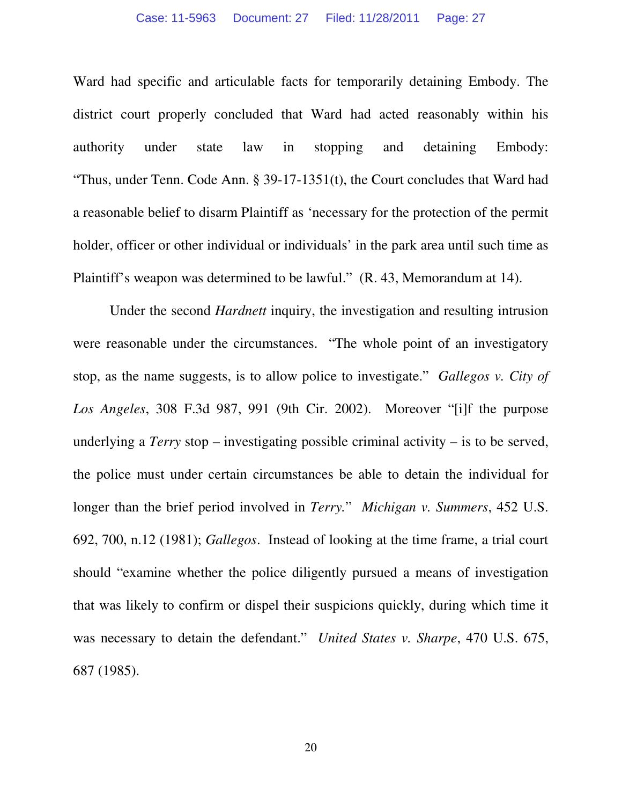Ward had specific and articulable facts for temporarily detaining Embody. The district court properly concluded that Ward had acted reasonably within his authority under state law in stopping and detaining Embody: "Thus, under Tenn. Code Ann. § 39-17-1351(t), the Court concludes that Ward had a reasonable belief to disarm Plaintiff as 'necessary for the protection of the permit holder, officer or other individual or individuals' in the park area until such time as Plaintiff's weapon was determined to be lawful." (R. 43, Memorandum at 14).

 Under the second *Hardnett* inquiry, the investigation and resulting intrusion were reasonable under the circumstances. "The whole point of an investigatory stop, as the name suggests, is to allow police to investigate." *Gallegos v. City of Los Angeles*, 308 F.3d 987, 991 (9th Cir. 2002). Moreover "[i]f the purpose underlying a *Terry* stop – investigating possible criminal activity – is to be served, the police must under certain circumstances be able to detain the individual for longer than the brief period involved in *Terry.*" *Michigan v. Summers*, 452 U.S. 692, 700, n.12 (1981); *Gallegos*. Instead of looking at the time frame, a trial court should "examine whether the police diligently pursued a means of investigation that was likely to confirm or dispel their suspicions quickly, during which time it was necessary to detain the defendant." *United States v. Sharpe*, 470 U.S. 675, 687 (1985).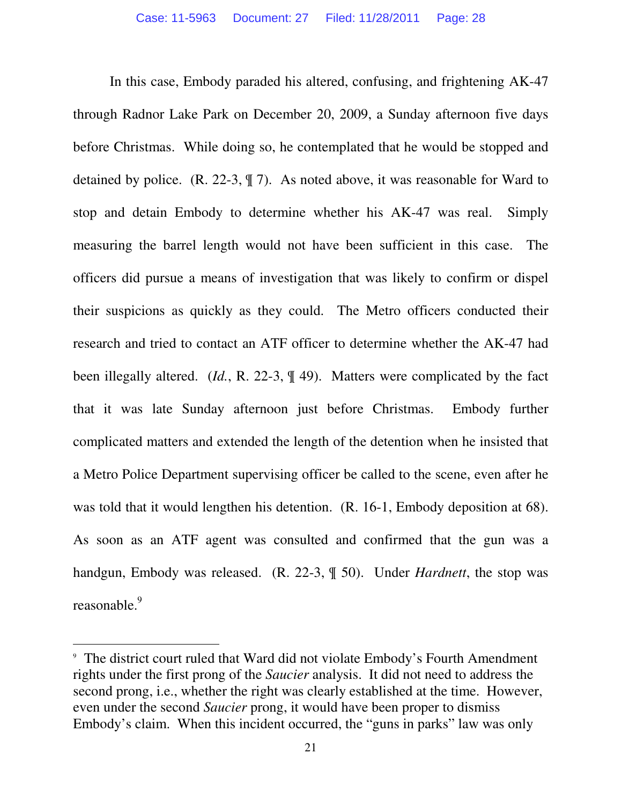In this case, Embody paraded his altered, confusing, and frightening AK-47 through Radnor Lake Park on December 20, 2009, a Sunday afternoon five days before Christmas. While doing so, he contemplated that he would be stopped and detained by police. (R. 22-3, ¶ 7). As noted above, it was reasonable for Ward to stop and detain Embody to determine whether his AK-47 was real. Simply measuring the barrel length would not have been sufficient in this case. The officers did pursue a means of investigation that was likely to confirm or dispel their suspicions as quickly as they could. The Metro officers conducted their research and tried to contact an ATF officer to determine whether the AK-47 had been illegally altered. (*Id.*, R. 22-3, ¶ 49). Matters were complicated by the fact that it was late Sunday afternoon just before Christmas. Embody further complicated matters and extended the length of the detention when he insisted that a Metro Police Department supervising officer be called to the scene, even after he was told that it would lengthen his detention. (R. 16-1, Embody deposition at 68). As soon as an ATF agent was consulted and confirmed that the gun was a handgun, Embody was released. (R. 22-3, ¶ 50). Under *Hardnett*, the stop was reasonable.<sup>9</sup>

l

<sup>9</sup> The district court ruled that Ward did not violate Embody's Fourth Amendment rights under the first prong of the *Saucier* analysis. It did not need to address the second prong, i.e., whether the right was clearly established at the time. However, even under the second *Saucier* prong, it would have been proper to dismiss Embody's claim. When this incident occurred, the "guns in parks" law was only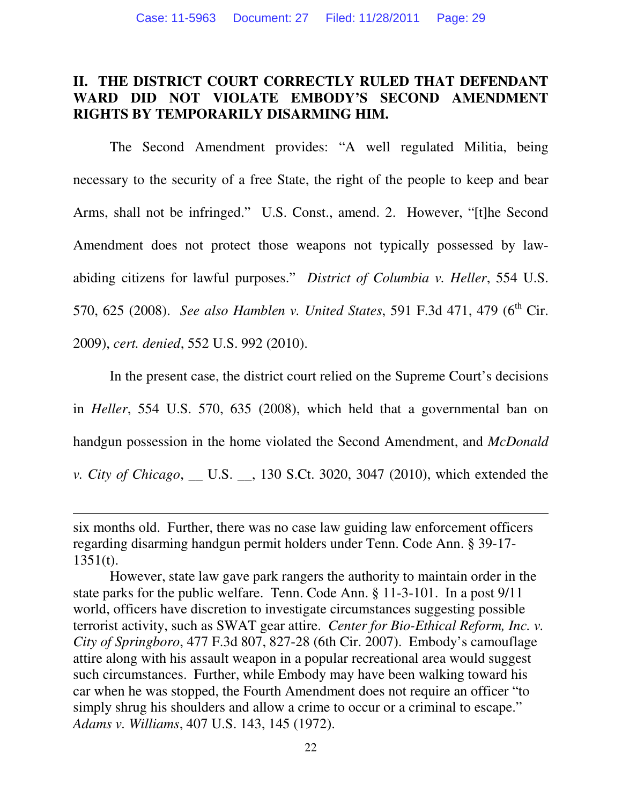### **II. THE DISTRICT COURT CORRECTLY RULED THAT DEFENDANT WARD DID NOT VIOLATE EMBODY'S SECOND AMENDMENT RIGHTS BY TEMPORARILY DISARMING HIM.**

 The Second Amendment provides: "A well regulated Militia, being necessary to the security of a free State, the right of the people to keep and bear Arms, shall not be infringed." U.S. Const., amend. 2. However, "[t]he Second Amendment does not protect those weapons not typically possessed by lawabiding citizens for lawful purposes." *District of Columbia v. Heller*, 554 U.S. 570, 625 (2008). *See also Hamblen v. United States*, 591 F.3d 471, 479 (6<sup>th</sup> Cir. 2009), *cert. denied*, 552 U.S. 992 (2010).

 In the present case, the district court relied on the Supreme Court's decisions in *Heller*, 554 U.S. 570, 635 (2008), which held that a governmental ban on handgun possession in the home violated the Second Amendment, and *McDonald v. City of Chicago*, \_\_ U.S. \_\_, 130 S.Ct. 3020, 3047 (2010), which extended the

six months old. Further, there was no case law guiding law enforcement officers regarding disarming handgun permit holders under Tenn. Code Ann. § 39-17-  $1351(t)$ .

However, state law gave park rangers the authority to maintain order in the state parks for the public welfare. Tenn. Code Ann. § 11-3-101. In a post 9/11 world, officers have discretion to investigate circumstances suggesting possible terrorist activity, such as SWAT gear attire. *Center for Bio-Ethical Reform, Inc. v. City of Springboro*, 477 F.3d 807, 827-28 (6th Cir. 2007). Embody's camouflage attire along with his assault weapon in a popular recreational area would suggest such circumstances. Further, while Embody may have been walking toward his car when he was stopped, the Fourth Amendment does not require an officer "to simply shrug his shoulders and allow a crime to occur or a criminal to escape." *Adams v. Williams*, 407 U.S. 143, 145 (1972).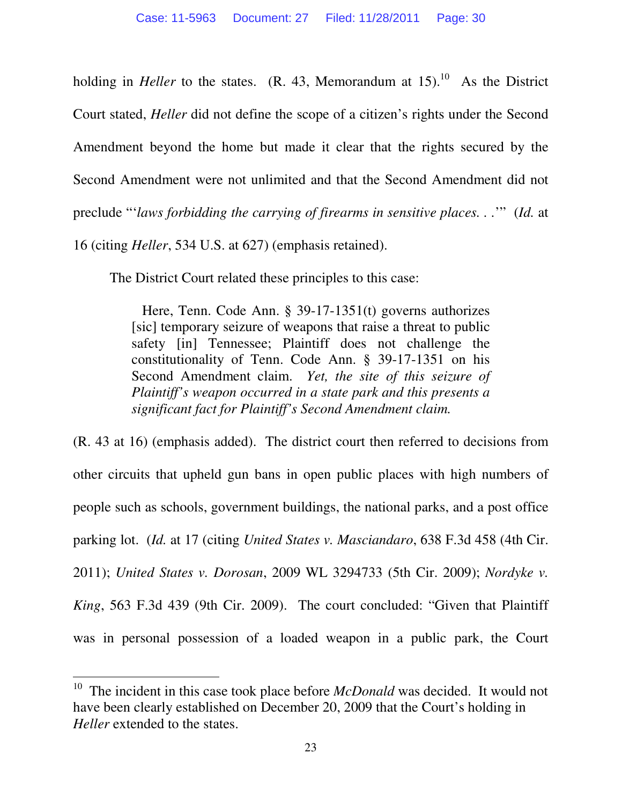holding in *Heller* to the states. (R. 43, Memorandum at  $15$ ).<sup>10</sup> As the District Court stated, *Heller* did not define the scope of a citizen's rights under the Second Amendment beyond the home but made it clear that the rights secured by the Second Amendment were not unlimited and that the Second Amendment did not preclude "'*laws forbidding the carrying of firearms in sensitive places. . .*'" (*Id.* at 16 (citing *Heller*, 534 U.S. at 627) (emphasis retained).

The District Court related these principles to this case:

 Here, Tenn. Code Ann. § 39-17-1351(t) governs authorizes [sic] temporary seizure of weapons that raise a threat to public safety [in] Tennessee; Plaintiff does not challenge the constitutionality of Tenn. Code Ann. § 39-17-1351 on his Second Amendment claim. *Yet, the site of this seizure of Plaintiff's weapon occurred in a state park and this presents a significant fact for Plaintiff's Second Amendment claim.*

(R. 43 at 16) (emphasis added). The district court then referred to decisions from other circuits that upheld gun bans in open public places with high numbers of people such as schools, government buildings, the national parks, and a post office parking lot. (*Id.* at 17 (citing *United States v. Masciandaro*, 638 F.3d 458 (4th Cir. 2011); *United States v. Dorosan*, 2009 WL 3294733 (5th Cir. 2009); *Nordyke v. King*, 563 F.3d 439 (9th Cir. 2009). The court concluded: "Given that Plaintiff was in personal possession of a loaded weapon in a public park, the Court

<sup>10</sup> The incident in this case took place before *McDonald* was decided. It would not have been clearly established on December 20, 2009 that the Court's holding in *Heller* extended to the states.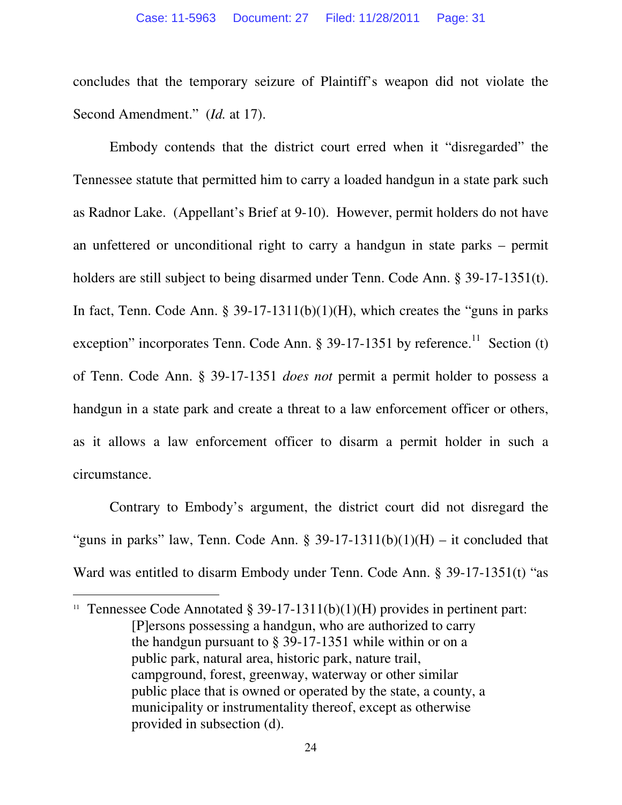concludes that the temporary seizure of Plaintiff's weapon did not violate the Second Amendment." (*Id.* at 17).

 Embody contends that the district court erred when it "disregarded" the Tennessee statute that permitted him to carry a loaded handgun in a state park such as Radnor Lake. (Appellant's Brief at 9-10). However, permit holders do not have an unfettered or unconditional right to carry a handgun in state parks – permit holders are still subject to being disarmed under Tenn. Code Ann. § 39-17-1351(t). In fact, Tenn. Code Ann. § 39-17-1311(b)(1)(H), which creates the "guns in parks exception" incorporates Tenn. Code Ann.  $\S 39-17-1351$  by reference.<sup>11</sup> Section (t) of Tenn. Code Ann. § 39-17-1351 *does not* permit a permit holder to possess a handgun in a state park and create a threat to a law enforcement officer or others, as it allows a law enforcement officer to disarm a permit holder in such a circumstance.

 Contrary to Embody's argument, the district court did not disregard the "guns in parks" law, Tenn. Code Ann. § 39-17-1311(b)(1)(H) – it concluded that Ward was entitled to disarm Embody under Tenn. Code Ann. § 39-17-1351(t) "as

<sup>&</sup>lt;sup>11</sup> Tennessee Code Annotated § 39-17-1311(b)(1)(H) provides in pertinent part: [P]ersons possessing a handgun, who are authorized to carry the handgun pursuant to § 39-17-1351 while within or on a public park, natural area, historic park, nature trail, campground, forest, greenway, waterway or other similar public place that is owned or operated by the state, a county, a municipality or instrumentality thereof, except as otherwise provided in subsection (d).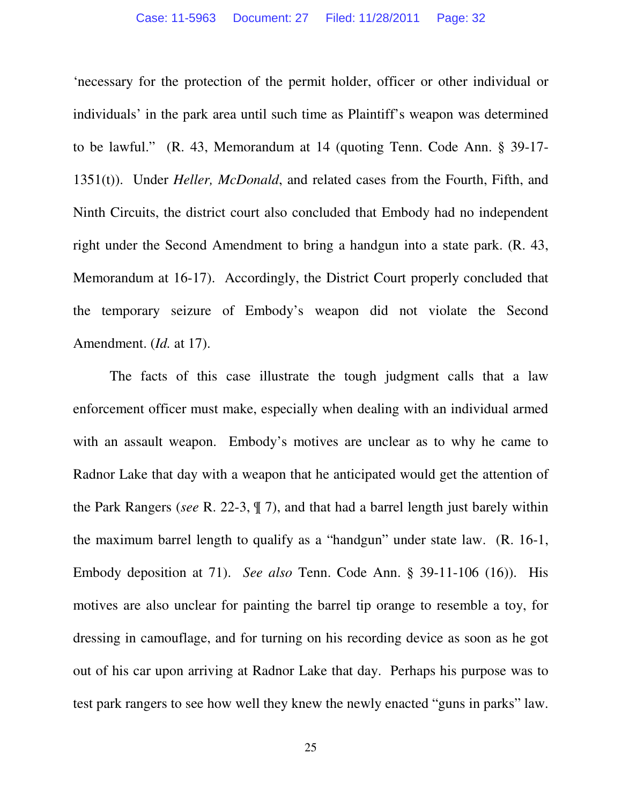'necessary for the protection of the permit holder, officer or other individual or individuals' in the park area until such time as Plaintiff's weapon was determined to be lawful." (R. 43, Memorandum at 14 (quoting Tenn. Code Ann. § 39-17- 1351(t)). Under *Heller, McDonald*, and related cases from the Fourth, Fifth, and Ninth Circuits, the district court also concluded that Embody had no independent right under the Second Amendment to bring a handgun into a state park. (R. 43, Memorandum at 16-17). Accordingly, the District Court properly concluded that the temporary seizure of Embody's weapon did not violate the Second Amendment. (*Id.* at 17).

 The facts of this case illustrate the tough judgment calls that a law enforcement officer must make, especially when dealing with an individual armed with an assault weapon. Embody's motives are unclear as to why he came to Radnor Lake that day with a weapon that he anticipated would get the attention of the Park Rangers (*see* R. 22-3, ¶ 7), and that had a barrel length just barely within the maximum barrel length to qualify as a "handgun" under state law. (R. 16-1, Embody deposition at 71). *See also* Tenn. Code Ann. § 39-11-106 (16)). His motives are also unclear for painting the barrel tip orange to resemble a toy, for dressing in camouflage, and for turning on his recording device as soon as he got out of his car upon arriving at Radnor Lake that day. Perhaps his purpose was to test park rangers to see how well they knew the newly enacted "guns in parks" law.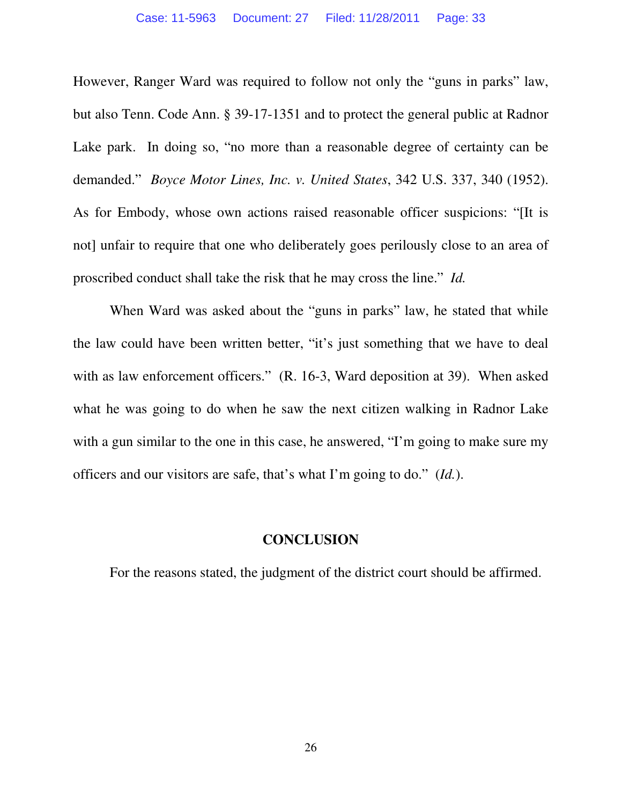However, Ranger Ward was required to follow not only the "guns in parks" law, but also Tenn. Code Ann. § 39-17-1351 and to protect the general public at Radnor Lake park. In doing so, "no more than a reasonable degree of certainty can be demanded." *Boyce Motor Lines, Inc. v. United States*, 342 U.S. 337, 340 (1952). As for Embody, whose own actions raised reasonable officer suspicions: "[It is not] unfair to require that one who deliberately goes perilously close to an area of proscribed conduct shall take the risk that he may cross the line." *Id.*

When Ward was asked about the "guns in parks" law, he stated that while the law could have been written better, "it's just something that we have to deal with as law enforcement officers." (R. 16-3, Ward deposition at 39). When asked what he was going to do when he saw the next citizen walking in Radnor Lake with a gun similar to the one in this case, he answered, "I'm going to make sure my officers and our visitors are safe, that's what I'm going to do." (*Id.*).

#### **CONCLUSION**

For the reasons stated, the judgment of the district court should be affirmed.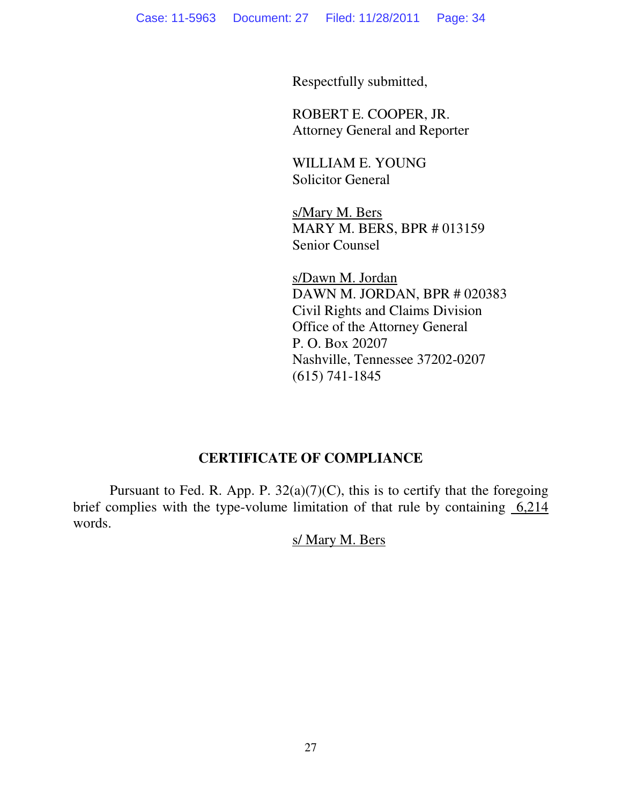Respectfully submitted,

 ROBERT E. COOPER, JR. Attorney General and Reporter

 WILLIAM E. YOUNG Solicitor General

 s/Mary M. Bers MARY M. BERS, BPR # 013159 Senior Counsel

 s/Dawn M. Jordan DAWN M. JORDAN, BPR # 020383 Civil Rights and Claims Division Office of the Attorney General P. O. Box 20207 Nashville, Tennessee 37202-0207 (615) 741-1845

## **CERTIFICATE OF COMPLIANCE**

Pursuant to Fed. R. App. P.  $32(a)(7)(C)$ , this is to certify that the foregoing brief complies with the type-volume limitation of that rule by containing  $6,214$ words.

### s/ Mary M. Bers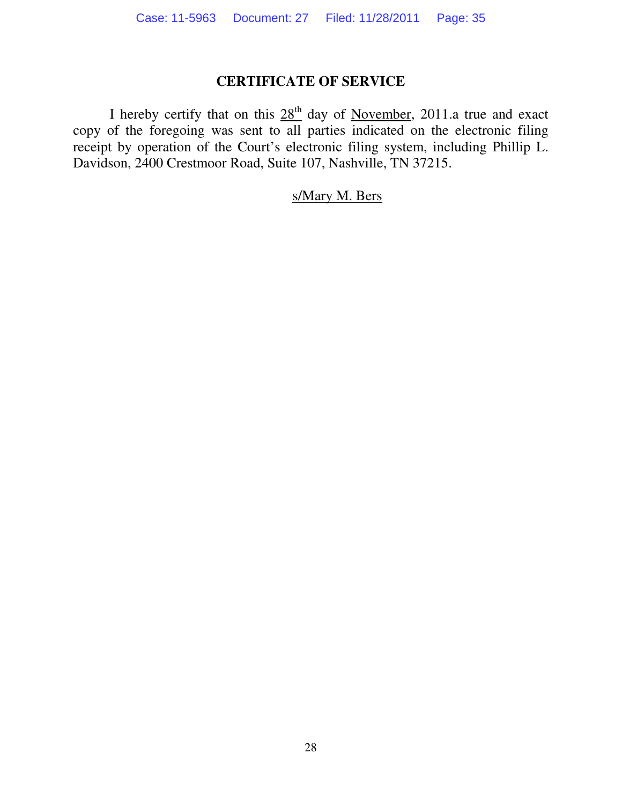## **CERTIFICATE OF SERVICE**

I hereby certify that on this  $28<sup>th</sup>$  day of November, 2011.a true and exact copy of the foregoing was sent to all parties indicated on the electronic filing receipt by operation of the Court's electronic filing system, including Phillip L. Davidson, 2400 Crestmoor Road, Suite 107, Nashville, TN 37215.

### s/Mary M. Bers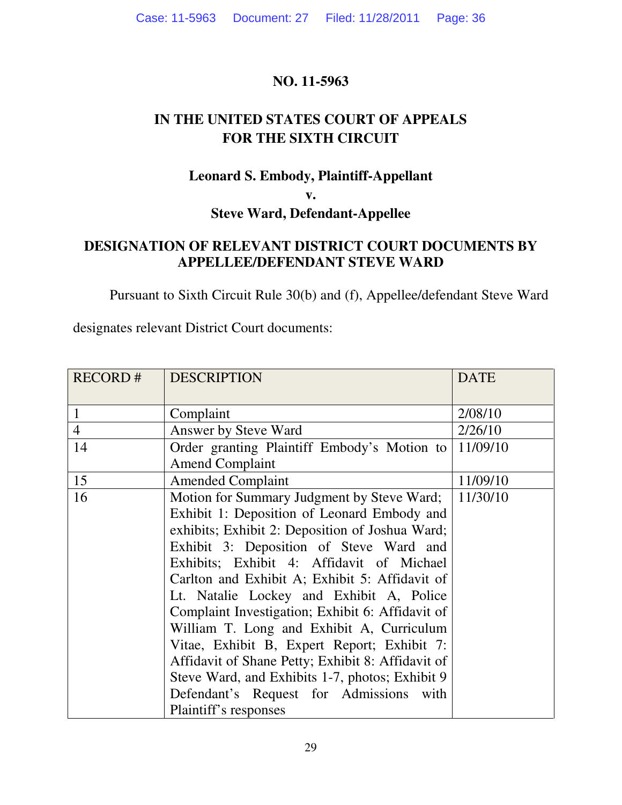### **NO. 11-5963**

# **IN THE UNITED STATES COURT OF APPEALS FOR THE SIXTH CIRCUIT**

### **Leonard S. Embody, Plaintiff-Appellant**

**v.** 

**Steve Ward, Defendant-Appellee** 

### **DESIGNATION OF RELEVANT DISTRICT COURT DOCUMENTS BY APPELLEE/DEFENDANT STEVE WARD**

Pursuant to Sixth Circuit Rule 30(b) and (f), Appellee/defendant Steve Ward

designates relevant District Court documents:

| <b>RECORD#</b> | <b>DESCRIPTION</b>                                | <b>DATE</b> |
|----------------|---------------------------------------------------|-------------|
| $\mathbf{1}$   | Complaint                                         | 2/08/10     |
| $\overline{4}$ | Answer by Steve Ward                              | 2/26/10     |
| 14             | Order granting Plaintiff Embody's Motion to       | 11/09/10    |
|                | <b>Amend Complaint</b>                            |             |
| 15             | <b>Amended Complaint</b>                          | 11/09/10    |
| 16             | Motion for Summary Judgment by Steve Ward;        | 11/30/10    |
|                | Exhibit 1: Deposition of Leonard Embody and       |             |
|                | exhibits; Exhibit 2: Deposition of Joshua Ward;   |             |
|                | Exhibit 3: Deposition of Steve Ward and           |             |
|                | Exhibits; Exhibit 4: Affidavit of Michael         |             |
|                | Carlton and Exhibit A; Exhibit 5: Affidavit of    |             |
|                | Lt. Natalie Lockey and Exhibit A, Police          |             |
|                | Complaint Investigation; Exhibit 6: Affidavit of  |             |
|                | William T. Long and Exhibit A, Curriculum         |             |
|                | Vitae, Exhibit B, Expert Report; Exhibit 7:       |             |
|                | Affidavit of Shane Petty; Exhibit 8: Affidavit of |             |
|                | Steve Ward, and Exhibits 1-7, photos; Exhibit 9   |             |
|                | Defendant's Request for Admissions<br>with        |             |
|                | Plaintiff's responses                             |             |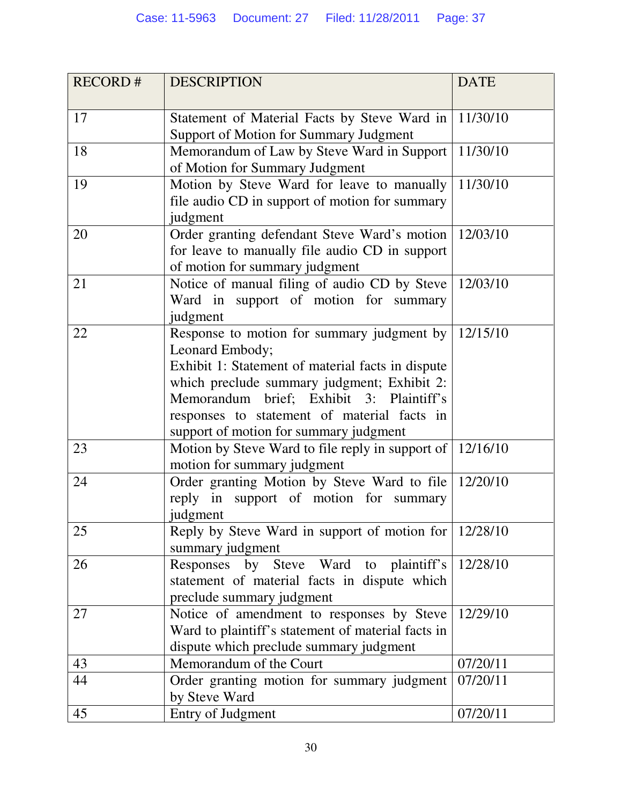| <b>RECORD#</b> | <b>DESCRIPTION</b>                                                | <b>DATE</b> |
|----------------|-------------------------------------------------------------------|-------------|
|                |                                                                   |             |
| 17             | Statement of Material Facts by Steve Ward in   11/30/10           |             |
|                | <b>Support of Motion for Summary Judgment</b>                     |             |
| 18             | Memorandum of Law by Steve Ward in Support                        | 11/30/10    |
|                | of Motion for Summary Judgment                                    |             |
| 19             | Motion by Steve Ward for leave to manually                        | 11/30/10    |
|                | file audio CD in support of motion for summary                    |             |
|                | judgment                                                          |             |
| 20             | Order granting defendant Steve Ward's motion   12/03/10           |             |
|                | for leave to manually file audio CD in support                    |             |
|                | of motion for summary judgment                                    |             |
| 21             | Notice of manual filing of audio CD by Steve                      | 12/03/10    |
|                | Ward in support of motion for summary                             |             |
|                | judgment                                                          |             |
| 22             | Response to motion for summary judgment by $\vert$ 12/15/10       |             |
|                | Leonard Embody;                                                   |             |
|                | Exhibit 1: Statement of material facts in dispute                 |             |
|                | which preclude summary judgment; Exhibit 2:                       |             |
|                | Memorandum brief; Exhibit 3: Plaintiff's                          |             |
|                | responses to statement of material facts in                       |             |
|                | support of motion for summary judgment                            |             |
| 23             | Motion by Steve Ward to file reply in support of $\vert$ 12/16/10 |             |
|                | motion for summary judgment                                       |             |
| 24             | Order granting Motion by Steve Ward to file   12/20/10            |             |
|                | reply in support of motion for summary                            |             |
|                | judgment                                                          |             |
| 25             | Reply by Steve Ward in support of motion for 12/28/10             |             |
|                | summary judgment                                                  |             |
| 26             | Responses by Steve Ward to plaintiff's                            | 12/28/10    |
|                | statement of material facts in dispute which                      |             |
|                | preclude summary judgment                                         |             |
| 27             | Notice of amendment to responses by Steve                         | 12/29/10    |
|                | Ward to plaintiff's statement of material facts in                |             |
|                | dispute which preclude summary judgment                           |             |
| 43             | Memorandum of the Court                                           | 07/20/11    |
| 44             | Order granting motion for summary judgment                        | 07/20/11    |
|                | by Steve Ward                                                     |             |
| 45             | Entry of Judgment                                                 | 07/20/11    |